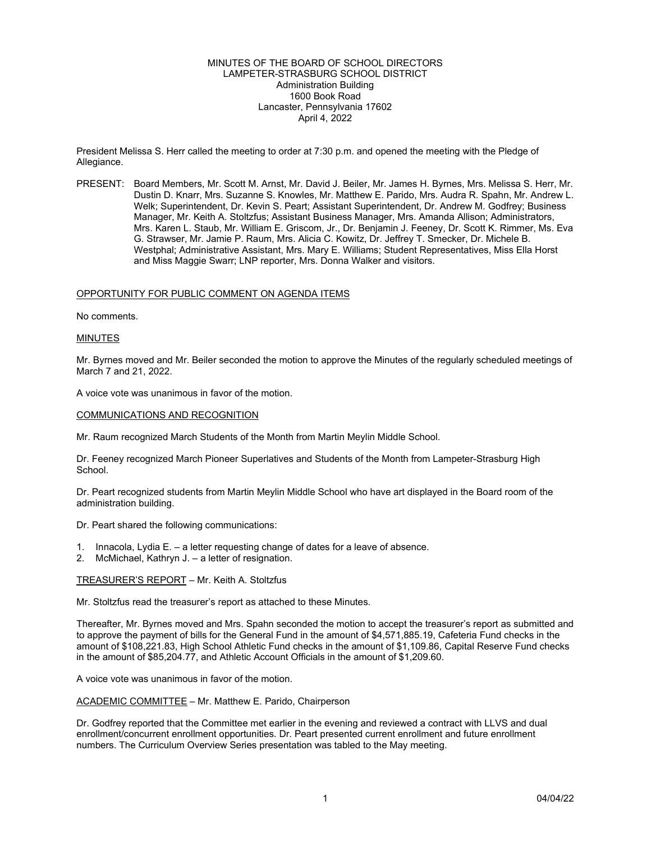## MINUTES OF THE BOARD OF SCHOOL DIRECTORS LAMPETER-STRASBURG SCHOOL DISTRICT Administration Building 1600 Book Road Lancaster, Pennsylvania 17602 April 4, 2022

President Melissa S. Herr called the meeting to order at 7:30 p.m. and opened the meeting with the Pledge of Allegiance.

PRESENT: Board Members, Mr. Scott M. Arnst, Mr. David J. Beiler, Mr. James H. Byrnes, Mrs. Melissa S. Herr, Mr. Dustin D. Knarr, Mrs. Suzanne S. Knowles, Mr. Matthew E. Parido, Mrs. Audra R. Spahn, Mr. Andrew L. Welk; Superintendent, Dr. Kevin S. Peart; Assistant Superintendent, Dr. Andrew M. Godfrey; Business Manager, Mr. Keith A. Stoltzfus; Assistant Business Manager, Mrs. Amanda Allison; Administrators, Mrs. Karen L. Staub, Mr. William E. Griscom, Jr., Dr. Benjamin J. Feeney, Dr. Scott K. Rimmer, Ms. Eva G. Strawser, Mr. Jamie P. Raum, Mrs. Alicia C. Kowitz, Dr. Jeffrey T. Smecker, Dr. Michele B. Westphal; Administrative Assistant, Mrs. Mary E. Williams; Student Representatives, Miss Ella Horst and Miss Maggie Swarr; LNP reporter, Mrs. Donna Walker and visitors.

## OPPORTUNITY FOR PUBLIC COMMENT ON AGENDA ITEMS

No comments.

#### MINUTES

Mr. Byrnes moved and Mr. Beiler seconded the motion to approve the Minutes of the regularly scheduled meetings of March 7 and 21, 2022.

A voice vote was unanimous in favor of the motion.

## COMMUNICATIONS AND RECOGNITION

Mr. Raum recognized March Students of the Month from Martin Meylin Middle School.

Dr. Feeney recognized March Pioneer Superlatives and Students of the Month from Lampeter-Strasburg High School.

Dr. Peart recognized students from Martin Meylin Middle School who have art displayed in the Board room of the administration building.

Dr. Peart shared the following communications:

- 1. Innacola, Lydia E. a letter requesting change of dates for a leave of absence.
- 2. McMichael, Kathryn J. a letter of resignation.

## TREASURER'S REPORT – Mr. Keith A. Stoltzfus

Mr. Stoltzfus read the treasurer's report as attached to these Minutes.

Thereafter, Mr. Byrnes moved and Mrs. Spahn seconded the motion to accept the treasurer's report as submitted and to approve the payment of bills for the General Fund in the amount of \$4,571,885.19, Cafeteria Fund checks in the amount of \$108,221.83, High School Athletic Fund checks in the amount of \$1,109.86, Capital Reserve Fund checks in the amount of \$85,204.77, and Athletic Account Officials in the amount of \$1,209.60.

A voice vote was unanimous in favor of the motion.

ACADEMIC COMMITTEE – Mr. Matthew E. Parido, Chairperson

Dr. Godfrey reported that the Committee met earlier in the evening and reviewed a contract with LLVS and dual enrollment/concurrent enrollment opportunities. Dr. Peart presented current enrollment and future enrollment numbers. The Curriculum Overview Series presentation was tabled to the May meeting.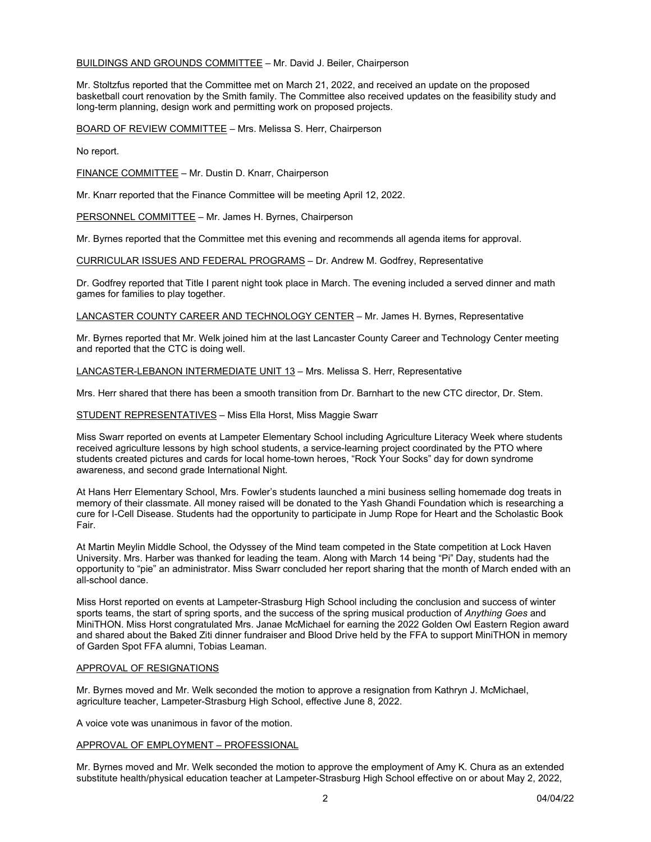## BUILDINGS AND GROUNDS COMMITTEE – Mr. David J. Beiler, Chairperson

Mr. Stoltzfus reported that the Committee met on March 21, 2022, and received an update on the proposed basketball court renovation by the Smith family. The Committee also received updates on the feasibility study and long-term planning, design work and permitting work on proposed projects.

BOARD OF REVIEW COMMITTEE – Mrs. Melissa S. Herr, Chairperson

No report.

FINANCE COMMITTEE – Mr. Dustin D. Knarr, Chairperson

Mr. Knarr reported that the Finance Committee will be meeting April 12, 2022.

PERSONNEL COMMITTEE – Mr. James H. Byrnes, Chairperson

Mr. Byrnes reported that the Committee met this evening and recommends all agenda items for approval.

CURRICULAR ISSUES AND FEDERAL PROGRAMS – Dr. Andrew M. Godfrey, Representative

Dr. Godfrey reported that Title I parent night took place in March. The evening included a served dinner and math games for families to play together.

LANCASTER COUNTY CAREER AND TECHNOLOGY CENTER – Mr. James H. Byrnes, Representative

Mr. Byrnes reported that Mr. Welk joined him at the last Lancaster County Career and Technology Center meeting and reported that the CTC is doing well.

LANCASTER-LEBANON INTERMEDIATE UNIT 13 – Mrs. Melissa S. Herr, Representative

Mrs. Herr shared that there has been a smooth transition from Dr. Barnhart to the new CTC director, Dr. Stem.

# STUDENT REPRESENTATIVES – Miss Ella Horst, Miss Maggie Swarr

Miss Swarr reported on events at Lampeter Elementary School including Agriculture Literacy Week where students received agriculture lessons by high school students, a service-learning project coordinated by the PTO where students created pictures and cards for local home-town heroes, "Rock Your Socks" day for down syndrome awareness, and second grade International Night.

At Hans Herr Elementary School, Mrs. Fowler's students launched a mini business selling homemade dog treats in memory of their classmate. All money raised will be donated to the Yash Ghandi Foundation which is researching a cure for I-Cell Disease. Students had the opportunity to participate in Jump Rope for Heart and the Scholastic Book Fair.

At Martin Meylin Middle School, the Odyssey of the Mind team competed in the State competition at Lock Haven University. Mrs. Harber was thanked for leading the team. Along with March 14 being "Pi" Day, students had the opportunity to "pie" an administrator. Miss Swarr concluded her report sharing that the month of March ended with an all-school dance.

Miss Horst reported on events at Lampeter-Strasburg High School including the conclusion and success of winter sports teams, the start of spring sports, and the success of the spring musical production of *Anything Goes* and MiniTHON. Miss Horst congratulated Mrs. Janae McMichael for earning the 2022 Golden Owl Eastern Region award and shared about the Baked Ziti dinner fundraiser and Blood Drive held by the FFA to support MiniTHON in memory of Garden Spot FFA alumni, Tobias Leaman.

## APPROVAL OF RESIGNATIONS

Mr. Byrnes moved and Mr. Welk seconded the motion to approve a resignation from Kathryn J. McMichael, agriculture teacher, Lampeter-Strasburg High School, effective June 8, 2022.

A voice vote was unanimous in favor of the motion.

## APPROVAL OF EMPLOYMENT – PROFESSIONAL

Mr. Byrnes moved and Mr. Welk seconded the motion to approve the employment of Amy K. Chura as an extended substitute health/physical education teacher at Lampeter-Strasburg High School effective on or about May 2, 2022,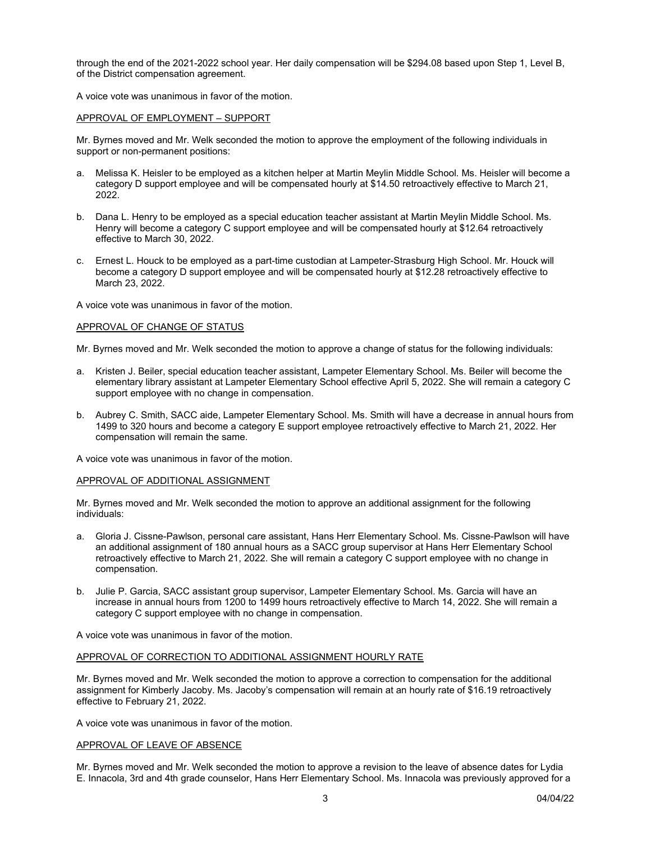through the end of the 2021-2022 school year. Her daily compensation will be \$294.08 based upon Step 1, Level B, of the District compensation agreement.

A voice vote was unanimous in favor of the motion.

## APPROVAL OF EMPLOYMENT – SUPPORT

Mr. Byrnes moved and Mr. Welk seconded the motion to approve the employment of the following individuals in support or non-permanent positions:

- a. Melissa K. Heisler to be employed as a kitchen helper at Martin Meylin Middle School. Ms. Heisler will become a category D support employee and will be compensated hourly at \$14.50 retroactively effective to March 21, 2022.
- b. Dana L. Henry to be employed as a special education teacher assistant at Martin Meylin Middle School. Ms. Henry will become a category C support employee and will be compensated hourly at \$12.64 retroactively effective to March 30, 2022.
- c. Ernest L. Houck to be employed as a part-time custodian at Lampeter-Strasburg High School. Mr. Houck will become a category D support employee and will be compensated hourly at \$12.28 retroactively effective to March 23, 2022.

A voice vote was unanimous in favor of the motion.

## APPROVAL OF CHANGE OF STATUS

Mr. Byrnes moved and Mr. Welk seconded the motion to approve a change of status for the following individuals:

- a. Kristen J. Beiler, special education teacher assistant, Lampeter Elementary School. Ms. Beiler will become the elementary library assistant at Lampeter Elementary School effective April 5, 2022. She will remain a category C support employee with no change in compensation.
- b. Aubrey C. Smith, SACC aide, Lampeter Elementary School. Ms. Smith will have a decrease in annual hours from 1499 to 320 hours and become a category E support employee retroactively effective to March 21, 2022. Her compensation will remain the same.

A voice vote was unanimous in favor of the motion.

## APPROVAL OF ADDITIONAL ASSIGNMENT

Mr. Byrnes moved and Mr. Welk seconded the motion to approve an additional assignment for the following individuals:

- a. Gloria J. Cissne-Pawlson, personal care assistant, Hans Herr Elementary School. Ms. Cissne-Pawlson will have an additional assignment of 180 annual hours as a SACC group supervisor at Hans Herr Elementary School retroactively effective to March 21, 2022. She will remain a category C support employee with no change in compensation.
- b. Julie P. Garcia, SACC assistant group supervisor, Lampeter Elementary School. Ms. Garcia will have an increase in annual hours from 1200 to 1499 hours retroactively effective to March 14, 2022. She will remain a category C support employee with no change in compensation.

A voice vote was unanimous in favor of the motion.

# APPROVAL OF CORRECTION TO ADDITIONAL ASSIGNMENT HOURLY RATE

Mr. Byrnes moved and Mr. Welk seconded the motion to approve a correction to compensation for the additional assignment for Kimberly Jacoby. Ms. Jacoby's compensation will remain at an hourly rate of \$16.19 retroactively effective to February 21, 2022.

A voice vote was unanimous in favor of the motion.

## APPROVAL OF LEAVE OF ABSENCE

Mr. Byrnes moved and Mr. Welk seconded the motion to approve a revision to the leave of absence dates for Lydia E. Innacola, 3rd and 4th grade counselor, Hans Herr Elementary School. Ms. Innacola was previously approved for a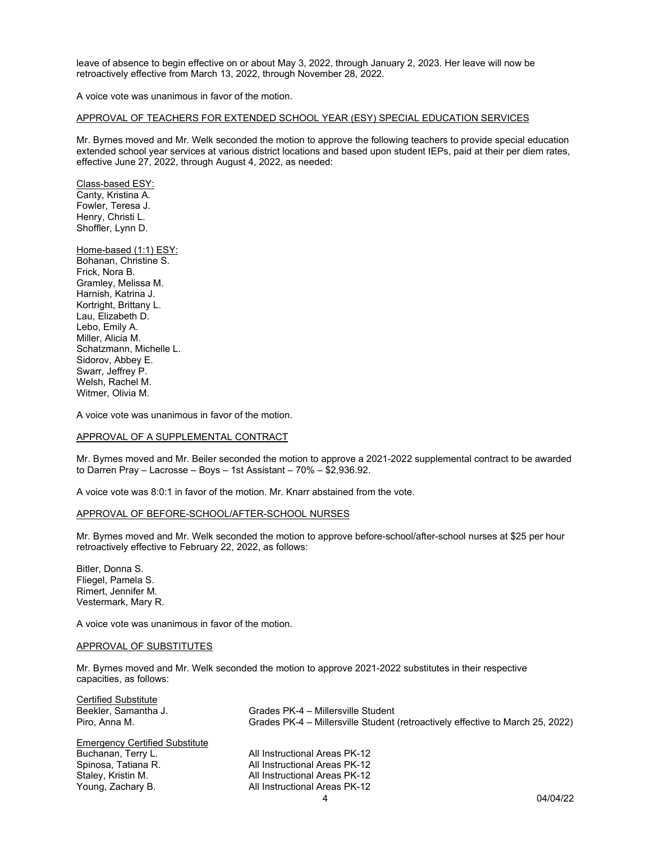leave of absence to begin effective on or about May 3, 2022, through January 2, 2023. Her leave will now be retroactively effective from March 13, 2022, through November 28, 2022.

A voice vote was unanimous in favor of the motion.

## APPROVAL OF TEACHERS FOR EXTENDED SCHOOL YEAR (ESY) SPECIAL EDUCATION SERVICES

Mr. Byrnes moved and Mr. Welk seconded the motion to approve the following teachers to provide special education extended school year services at various district locations and based upon student IEPs, paid at their per diem rates, effective June 27, 2022, through August 4, 2022, as needed:

Class-based ESY: Canty, Kristina A. Fowler, Teresa J. Henry, Christi L. Shoffler, Lynn D.

Home-based (1:1) ESY: Bohanan, Christine S. Frick, Nora B. Gramley, Melissa M. Harnish, Katrina J. Kortright, Brittany L. Lau, Elizabeth D. Lebo, Emily A. Miller, Alicia M. Schatzmann, Michelle L. Sidorov, Abbey E. Swarr, Jeffrey P. Welsh, Rachel M. Witmer, Olivia M.

A voice vote was unanimous in favor of the motion.

## APPROVAL OF A SUPPLEMENTAL CONTRACT

Mr. Byrnes moved and Mr. Beiler seconded the motion to approve a 2021-2022 supplemental contract to be awarded to Darren Pray – Lacrosse – Boys – 1st Assistant – 70% – \$2,936.92.

A voice vote was 8:0:1 in favor of the motion. Mr. Knarr abstained from the vote.

## APPROVAL OF BEFORE-SCHOOL/AFTER-SCHOOL NURSES

Mr. Byrnes moved and Mr. Welk seconded the motion to approve before-school/after-school nurses at \$25 per hour retroactively effective to February 22, 2022, as follows:

Bitler, Donna S. Fliegel, Pamela S. Rimert, Jennifer M. Vestermark, Mary R.

A voice vote was unanimous in favor of the motion.

## APPROVAL OF SUBSTITUTES

Mr. Byrnes moved and Mr. Welk seconded the motion to approve 2021-2022 substitutes in their respective capacities, as follows:

| <b>Certified Substitute</b>           |                                                                                |          |
|---------------------------------------|--------------------------------------------------------------------------------|----------|
| Beekler, Samantha J.                  | Grades PK-4 - Millersville Student                                             |          |
| Piro, Anna M.                         | Grades PK-4 – Millersville Student (retroactively effective to March 25, 2022) |          |
| <b>Emergency Certified Substitute</b> |                                                                                |          |
| Buchanan, Terry L.                    | All Instructional Areas PK-12                                                  |          |
| Spinosa, Tatiana R.                   | All Instructional Areas PK-12                                                  |          |
| Staley, Kristin M.                    | All Instructional Areas PK-12                                                  |          |
| Young, Zachary B.                     | All Instructional Areas PK-12                                                  |          |
|                                       |                                                                                | 04/04/22 |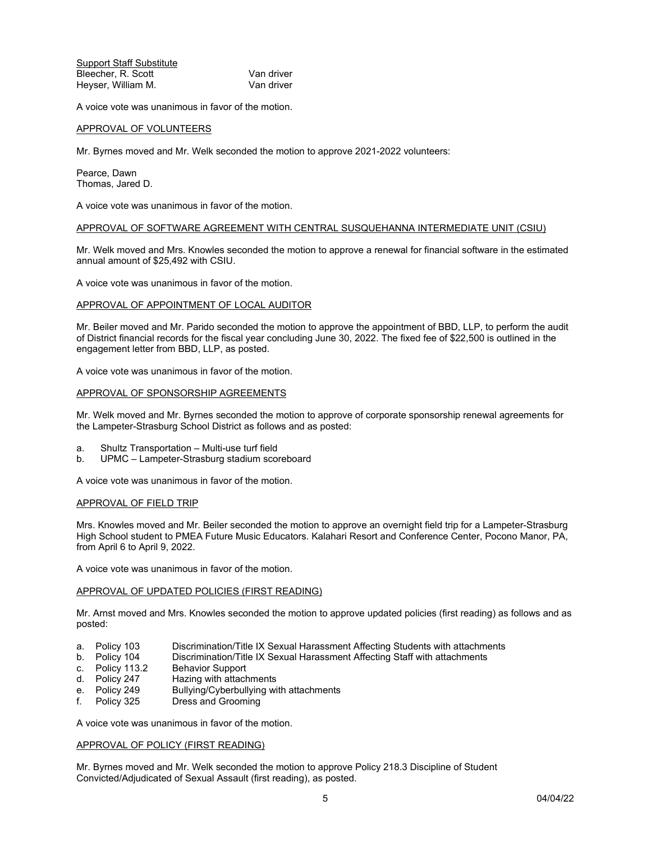Support Staff Substitute Bleecher, R. Scott Van driver Heyser, William M. Van driver

A voice vote was unanimous in favor of the motion.

# APPROVAL OF VOLUNTEERS

Mr. Byrnes moved and Mr. Welk seconded the motion to approve 2021-2022 volunteers:

Pearce, Dawn Thomas, Jared D.

A voice vote was unanimous in favor of the motion.

## APPROVAL OF SOFTWARE AGREEMENT WITH CENTRAL SUSQUEHANNA INTERMEDIATE UNIT (CSIU)

Mr. Welk moved and Mrs. Knowles seconded the motion to approve a renewal for financial software in the estimated annual amount of \$25,492 with CSIU.

A voice vote was unanimous in favor of the motion.

## APPROVAL OF APPOINTMENT OF LOCAL AUDITOR

Mr. Beiler moved and Mr. Parido seconded the motion to approve the appointment of BBD, LLP, to perform the audit of District financial records for the fiscal year concluding June 30, 2022. The fixed fee of \$22,500 is outlined in the engagement letter from BBD, LLP, as posted.

A voice vote was unanimous in favor of the motion.

#### APPROVAL OF SPONSORSHIP AGREEMENTS

Mr. Welk moved and Mr. Byrnes seconded the motion to approve of corporate sponsorship renewal agreements for the Lampeter-Strasburg School District as follows and as posted:

- a. Shultz Transportation Multi-use turf field
- b. UPMC Lampeter-Strasburg stadium scoreboard

A voice vote was unanimous in favor of the motion.

## APPROVAL OF FIELD TRIP

Mrs. Knowles moved and Mr. Beiler seconded the motion to approve an overnight field trip for a Lampeter-Strasburg High School student to PMEA Future Music Educators. Kalahari Resort and Conference Center, Pocono Manor, PA, from April 6 to April 9, 2022.

A voice vote was unanimous in favor of the motion.

## APPROVAL OF UPDATED POLICIES (FIRST READING)

Mr. Arnst moved and Mrs. Knowles seconded the motion to approve updated policies (first reading) as follows and as posted:

- a. Policy 103 Discrimination/Title IX Sexual Harassment Affecting Students with attachments<br>b. Policy 104 Discrimination/Title IX Sexual Harassment Affecting Staff with attachments
- b. Policy 104 Discrimination/Title IX Sexual Harassment Affecting Staff with attachments c. Policy 113.2 Behavior Support
- c. Policy 113.2 Behavior Support<br>d. Policy 247 Hazing with attach
- d. Policy 247 Hazing with attachments
- e. Policy 249 Bullying/Cyberbullying with attachments
- f. Policy 325 Dress and Grooming

A voice vote was unanimous in favor of the motion.

## APPROVAL OF POLICY (FIRST READING)

Mr. Byrnes moved and Mr. Welk seconded the motion to approve Policy 218.3 Discipline of Student Convicted/Adjudicated of Sexual Assault (first reading), as posted.